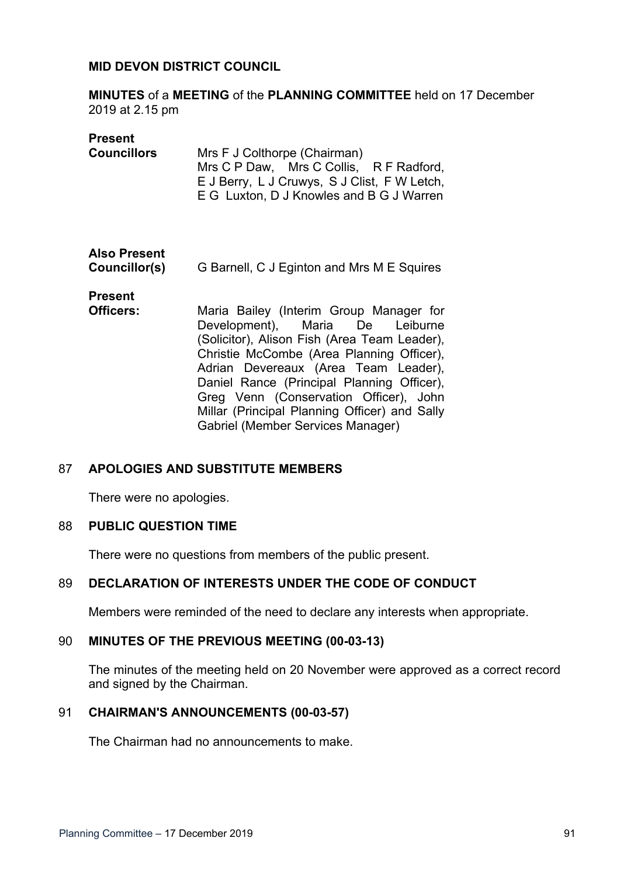### **MID DEVON DISTRICT COUNCIL**

**MINUTES** of a **MEETING** of the **PLANNING COMMITTEE** held on 17 December 2019 at 2.15 pm

#### **Present**

| <b>Councillors</b> | Mrs F J Colthorpe (Chairman)                 |
|--------------------|----------------------------------------------|
|                    | Mrs C P Daw, Mrs C Collis, R F Radford,      |
|                    | E J Berry, L J Cruwys, S J Clist, F W Letch, |
|                    | E G Luxton, D J Knowles and B G J Warren     |
|                    |                                              |

# **Also Present**

**Councillor(s)** G Barnell, C J Eginton and Mrs M E Squires

**Present**

**Officers:** Maria Bailey (Interim Group Manager for Development), Maria De Leiburne (Solicitor), Alison Fish (Area Team Leader), Christie McCombe (Area Planning Officer), Adrian Devereaux (Area Team Leader), Daniel Rance (Principal Planning Officer), Greg Venn (Conservation Officer), John Millar (Principal Planning Officer) and Sally Gabriel (Member Services Manager)

## 87 **APOLOGIES AND SUBSTITUTE MEMBERS**

There were no apologies.

#### 88 **PUBLIC QUESTION TIME**

There were no questions from members of the public present.

## 89 **DECLARATION OF INTERESTS UNDER THE CODE OF CONDUCT**

Members were reminded of the need to declare any interests when appropriate.

#### 90 **MINUTES OF THE PREVIOUS MEETING (00-03-13)**

The minutes of the meeting held on 20 November were approved as a correct record and signed by the Chairman.

#### 91 **CHAIRMAN'S ANNOUNCEMENTS (00-03-57)**

The Chairman had no announcements to make.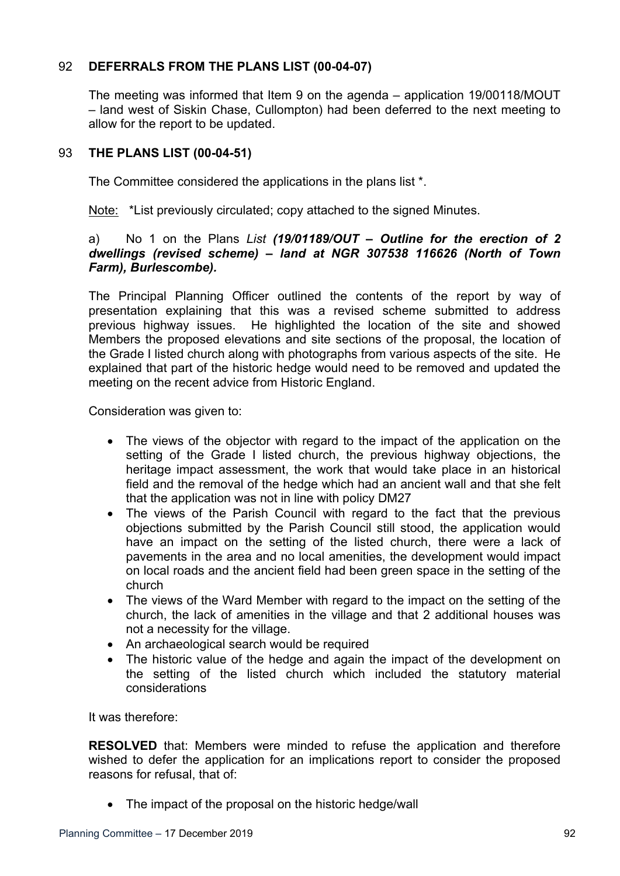# 92 **DEFERRALS FROM THE PLANS LIST (00-04-07)**

The meeting was informed that Item 9 on the agenda – application 19/00118/MOUT – land west of Siskin Chase, Cullompton) had been deferred to the next meeting to allow for the report to be updated.

# 93 **THE PLANS LIST (00-04-51)**

The Committee considered the applications in the plans list \*.

Note: \*List previously circulated; copy attached to the signed Minutes.

## a) No 1 on the Plans *List (19/01189/OUT – Outline for the erection of 2 dwellings (revised scheme) – land at NGR 307538 116626 (North of Town Farm), Burlescombe).*

The Principal Planning Officer outlined the contents of the report by way of presentation explaining that this was a revised scheme submitted to address previous highway issues. He highlighted the location of the site and showed Members the proposed elevations and site sections of the proposal, the location of the Grade I listed church along with photographs from various aspects of the site. He explained that part of the historic hedge would need to be removed and updated the meeting on the recent advice from Historic England.

Consideration was given to:

- The views of the objector with regard to the impact of the application on the setting of the Grade I listed church, the previous highway objections, the heritage impact assessment, the work that would take place in an historical field and the removal of the hedge which had an ancient wall and that she felt that the application was not in line with policy DM27
- The views of the Parish Council with regard to the fact that the previous objections submitted by the Parish Council still stood, the application would have an impact on the setting of the listed church, there were a lack of pavements in the area and no local amenities, the development would impact on local roads and the ancient field had been green space in the setting of the church
- The views of the Ward Member with regard to the impact on the setting of the church, the lack of amenities in the village and that 2 additional houses was not a necessity for the village.
- An archaeological search would be required
- The historic value of the hedge and again the impact of the development on the setting of the listed church which included the statutory material considerations

It was therefore:

**RESOLVED** that: Members were minded to refuse the application and therefore wished to defer the application for an implications report to consider the proposed reasons for refusal, that of:

• The impact of the proposal on the historic hedge/wall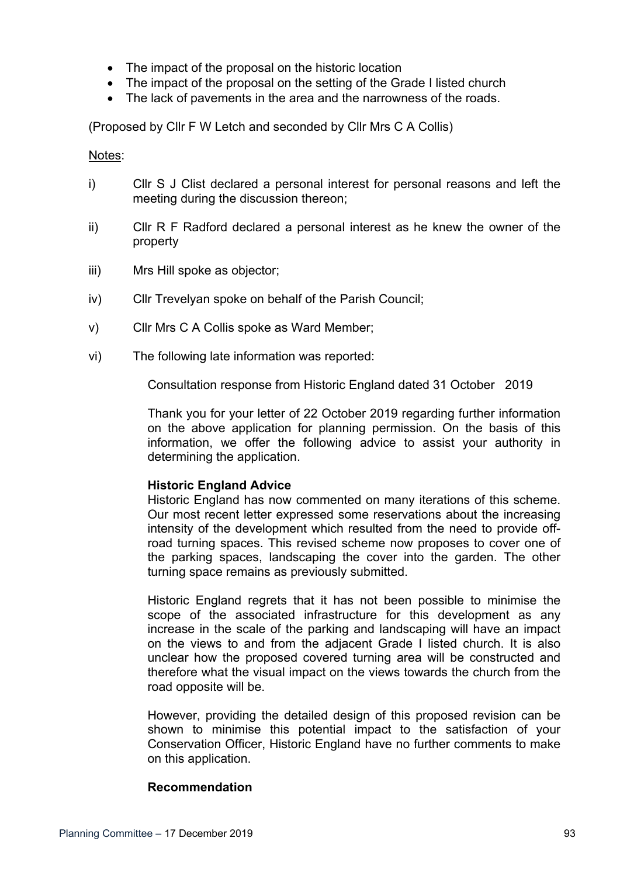- The impact of the proposal on the historic location
- The impact of the proposal on the setting of the Grade I listed church
- The lack of pavements in the area and the narrowness of the roads.

(Proposed by Cllr F W Letch and seconded by Cllr Mrs C A Collis)

#### Notes:

- i) Cllr S J Clist declared a personal interest for personal reasons and left the meeting during the discussion thereon;
- ii) Cllr R F Radford declared a personal interest as he knew the owner of the property
- iii) Mrs Hill spoke as objector;
- iv) Cllr Trevelyan spoke on behalf of the Parish Council;
- v) Cllr Mrs C A Collis spoke as Ward Member;
- vi) The following late information was reported:

Consultation response from Historic England dated 31 October 2019

Thank you for your letter of 22 October 2019 regarding further information on the above application for planning permission. On the basis of this information, we offer the following advice to assist your authority in determining the application.

#### **Historic England Advice**

Historic England has now commented on many iterations of this scheme. Our most recent letter expressed some reservations about the increasing intensity of the development which resulted from the need to provide offroad turning spaces. This revised scheme now proposes to cover one of the parking spaces, landscaping the cover into the garden. The other turning space remains as previously submitted.

Historic England regrets that it has not been possible to minimise the scope of the associated infrastructure for this development as any increase in the scale of the parking and landscaping will have an impact on the views to and from the adjacent Grade I listed church. It is also unclear how the proposed covered turning area will be constructed and therefore what the visual impact on the views towards the church from the road opposite will be.

However, providing the detailed design of this proposed revision can be shown to minimise this potential impact to the satisfaction of your Conservation Officer, Historic England have no further comments to make on this application.

#### **Recommendation**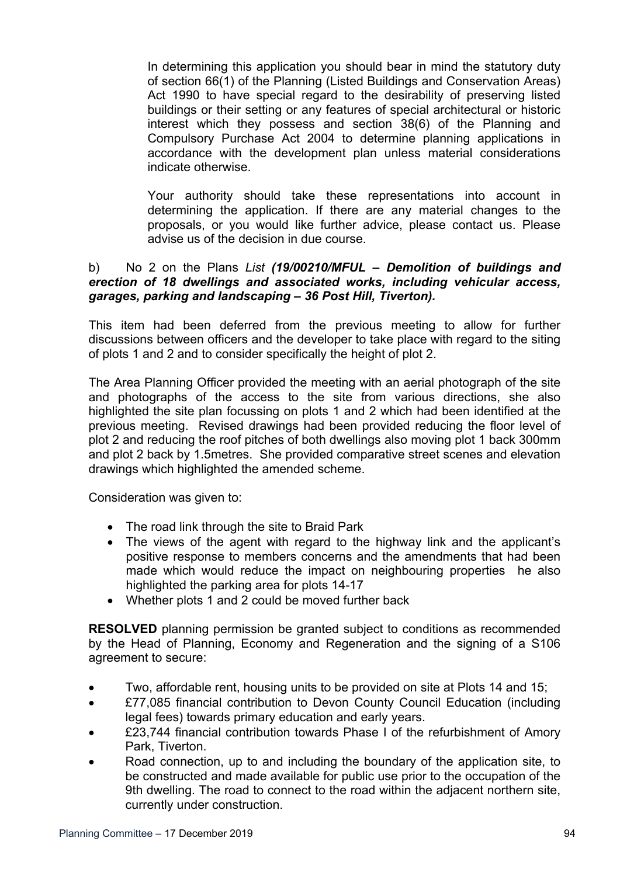In determining this application you should bear in mind the statutory duty of section 66(1) of the Planning (Listed Buildings and Conservation Areas) Act 1990 to have special regard to the desirability of preserving listed buildings or their setting or any features of special architectural or historic interest which they possess and section 38(6) of the Planning and Compulsory Purchase Act 2004 to determine planning applications in accordance with the development plan unless material considerations indicate otherwise.

Your authority should take these representations into account in determining the application. If there are any material changes to the proposals, or you would like further advice, please contact us. Please advise us of the decision in due course.

# b) No 2 on the Plans *List (19/00210/MFUL – Demolition of buildings and erection of 18 dwellings and associated works, including vehicular access, garages, parking and landscaping – 36 Post Hill, Tiverton).*

This item had been deferred from the previous meeting to allow for further discussions between officers and the developer to take place with regard to the siting of plots 1 and 2 and to consider specifically the height of plot 2.

The Area Planning Officer provided the meeting with an aerial photograph of the site and photographs of the access to the site from various directions, she also highlighted the site plan focussing on plots 1 and 2 which had been identified at the previous meeting. Revised drawings had been provided reducing the floor level of plot 2 and reducing the roof pitches of both dwellings also moving plot 1 back 300mm and plot 2 back by 1.5metres. She provided comparative street scenes and elevation drawings which highlighted the amended scheme.

Consideration was given to:

- The road link through the site to Braid Park
- The views of the agent with regard to the highway link and the applicant's positive response to members concerns and the amendments that had been made which would reduce the impact on neighbouring properties he also highlighted the parking area for plots 14-17
- Whether plots 1 and 2 could be moved further back

**RESOLVED** planning permission be granted subject to conditions as recommended by the Head of Planning, Economy and Regeneration and the signing of a S106 agreement to secure:

- Two, affordable rent, housing units to be provided on site at Plots 14 and 15;
- £77,085 financial contribution to Devon County Council Education (including legal fees) towards primary education and early years.
- £23,744 financial contribution towards Phase I of the refurbishment of Amory Park, Tiverton.
- Road connection, up to and including the boundary of the application site, to be constructed and made available for public use prior to the occupation of the 9th dwelling. The road to connect to the road within the adjacent northern site, currently under construction.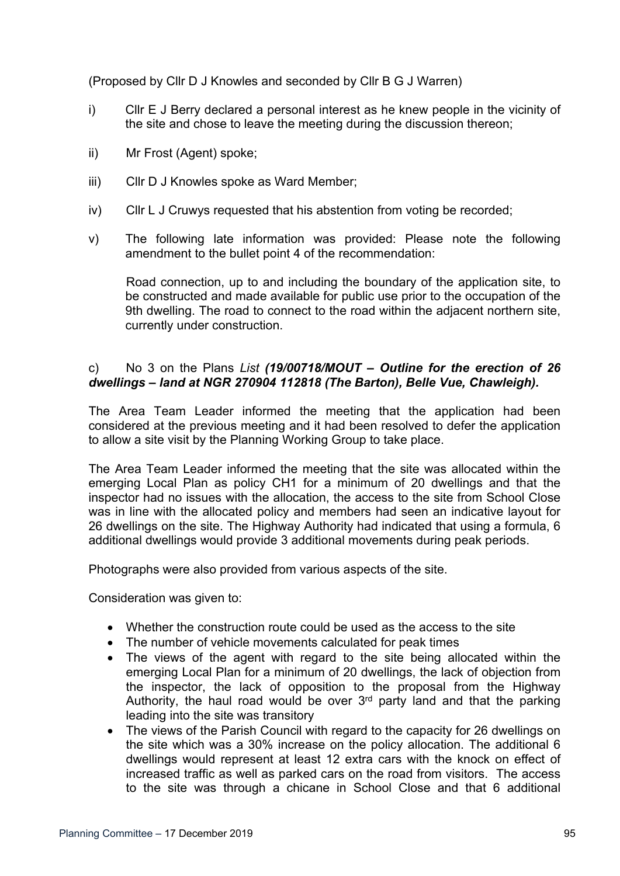(Proposed by Cllr D J Knowles and seconded by Cllr B G J Warren)

- i) Cllr E J Berry declared a personal interest as he knew people in the vicinity of the site and chose to leave the meeting during the discussion thereon;
- ii) Mr Frost (Agent) spoke;
- iii) Cllr D J Knowles spoke as Ward Member;
- iv) Cllr L J Cruwys requested that his abstention from voting be recorded;
- v) The following late information was provided: Please note the following amendment to the bullet point 4 of the recommendation:

Road connection, up to and including the boundary of the application site, to be constructed and made available for public use prior to the occupation of the 9th dwelling. The road to connect to the road within the adjacent northern site, currently under construction.

# c) No 3 on the Plans *List (19/00718/MOUT – Outline for the erection of 26 dwellings – land at NGR 270904 112818 (The Barton), Belle Vue, Chawleigh).*

The Area Team Leader informed the meeting that the application had been considered at the previous meeting and it had been resolved to defer the application to allow a site visit by the Planning Working Group to take place.

The Area Team Leader informed the meeting that the site was allocated within the emerging Local Plan as policy CH1 for a minimum of 20 dwellings and that the inspector had no issues with the allocation, the access to the site from School Close was in line with the allocated policy and members had seen an indicative layout for 26 dwellings on the site. The Highway Authority had indicated that using a formula, 6 additional dwellings would provide 3 additional movements during peak periods.

Photographs were also provided from various aspects of the site.

Consideration was given to:

- Whether the construction route could be used as the access to the site
- The number of vehicle movements calculated for peak times
- The views of the agent with regard to the site being allocated within the emerging Local Plan for a minimum of 20 dwellings, the lack of objection from the inspector, the lack of opposition to the proposal from the Highway Authority, the haul road would be over 3<sup>rd</sup> party land and that the parking leading into the site was transitory
- The views of the Parish Council with regard to the capacity for 26 dwellings on the site which was a 30% increase on the policy allocation. The additional 6 dwellings would represent at least 12 extra cars with the knock on effect of increased traffic as well as parked cars on the road from visitors. The access to the site was through a chicane in School Close and that 6 additional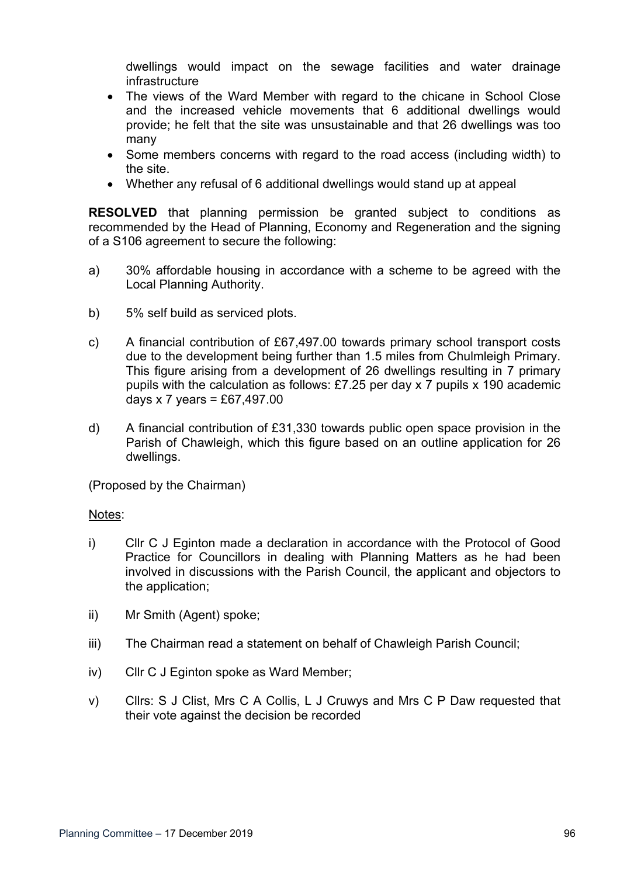dwellings would impact on the sewage facilities and water drainage infrastructure

- The views of the Ward Member with regard to the chicane in School Close and the increased vehicle movements that 6 additional dwellings would provide; he felt that the site was unsustainable and that 26 dwellings was too many
- Some members concerns with regard to the road access (including width) to the site.
- Whether any refusal of 6 additional dwellings would stand up at appeal

**RESOLVED** that planning permission be granted subject to conditions as recommended by the Head of Planning, Economy and Regeneration and the signing of a S106 agreement to secure the following:

- a) 30% affordable housing in accordance with a scheme to be agreed with the Local Planning Authority.
- b) 5% self build as serviced plots.
- c) A financial contribution of £67,497.00 towards primary school transport costs due to the development being further than 1.5 miles from Chulmleigh Primary. This figure arising from a development of 26 dwellings resulting in 7 primary pupils with the calculation as follows: £7.25 per day x 7 pupils x 190 academic days x 7 years =  $£67,497.00$
- d) A financial contribution of £31,330 towards public open space provision in the Parish of Chawleigh, which this figure based on an outline application for 26 dwellings.

(Proposed by the Chairman)

#### Notes:

- i) Cllr C J Eginton made a declaration in accordance with the Protocol of Good Practice for Councillors in dealing with Planning Matters as he had been involved in discussions with the Parish Council, the applicant and objectors to the application;
- ii) Mr Smith (Agent) spoke;
- iii) The Chairman read a statement on behalf of Chawleigh Parish Council;
- iv) Cllr C J Eginton spoke as Ward Member;
- v) Cllrs: S J Clist, Mrs C A Collis, L J Cruwys and Mrs C P Daw requested that their vote against the decision be recorded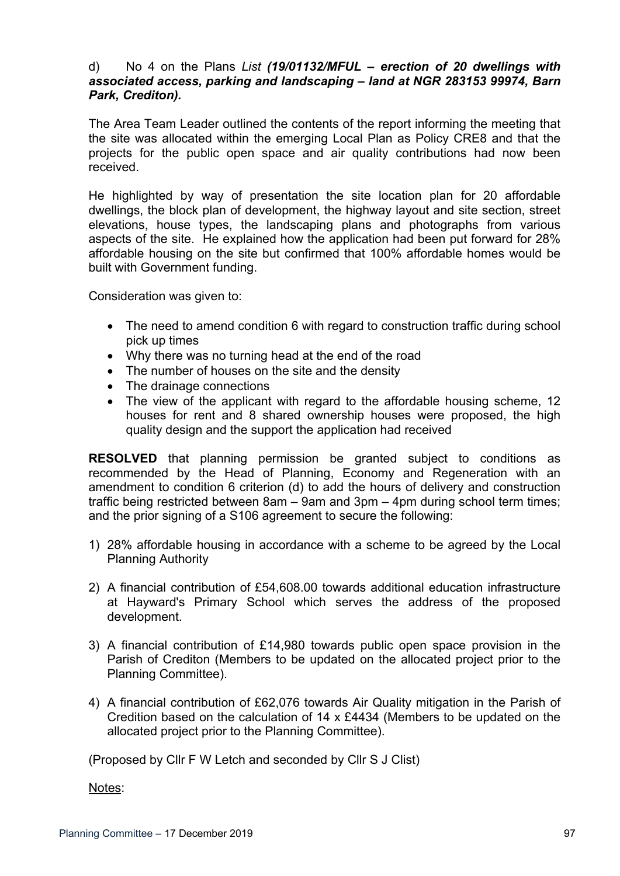## d) No 4 on the Plans *List (19/01132/MFUL – erection of 20 dwellings with associated access, parking and landscaping – land at NGR 283153 99974, Barn Park, Crediton).*

The Area Team Leader outlined the contents of the report informing the meeting that the site was allocated within the emerging Local Plan as Policy CRE8 and that the projects for the public open space and air quality contributions had now been received.

He highlighted by way of presentation the site location plan for 20 affordable dwellings, the block plan of development, the highway layout and site section, street elevations, house types, the landscaping plans and photographs from various aspects of the site. He explained how the application had been put forward for 28% affordable housing on the site but confirmed that 100% affordable homes would be built with Government funding.

Consideration was given to:

- The need to amend condition 6 with regard to construction traffic during school pick up times
- Why there was no turning head at the end of the road
- The number of houses on the site and the density
- The drainage connections
- The view of the applicant with regard to the affordable housing scheme, 12 houses for rent and 8 shared ownership houses were proposed, the high quality design and the support the application had received

**RESOLVED** that planning permission be granted subject to conditions as recommended by the Head of Planning, Economy and Regeneration with an amendment to condition 6 criterion (d) to add the hours of delivery and construction traffic being restricted between 8am – 9am and 3pm – 4pm during school term times; and the prior signing of a S106 agreement to secure the following:

- 1) 28% affordable housing in accordance with a scheme to be agreed by the Local Planning Authority
- 2) A financial contribution of £54,608.00 towards additional education infrastructure at Hayward's Primary School which serves the address of the proposed development.
- 3) A financial contribution of £14,980 towards public open space provision in the Parish of Crediton (Members to be updated on the allocated project prior to the Planning Committee).
- 4) A financial contribution of £62,076 towards Air Quality mitigation in the Parish of Credition based on the calculation of 14 x £4434 (Members to be updated on the allocated project prior to the Planning Committee).

(Proposed by Cllr F W Letch and seconded by Cllr S J Clist)

Notes: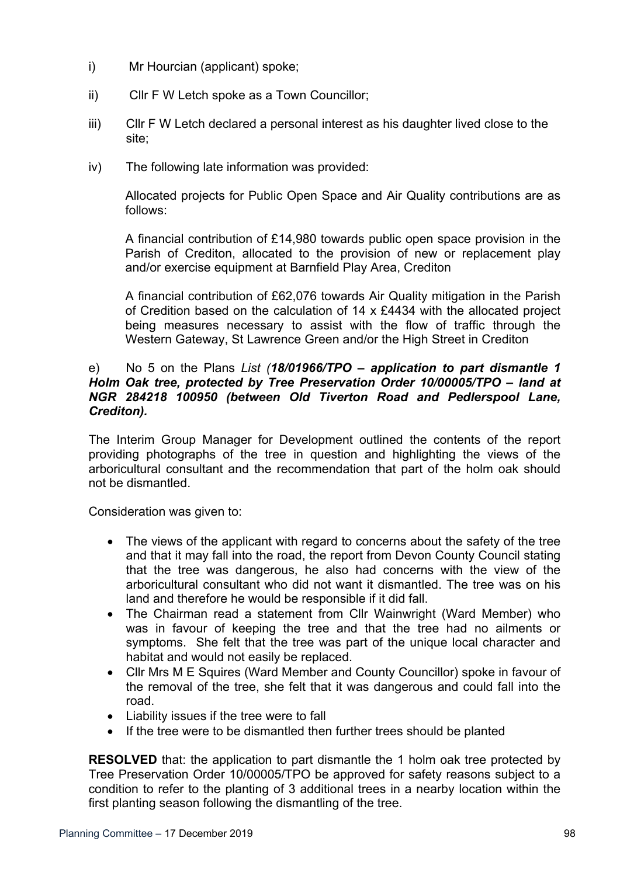- i) Mr Hourcian (applicant) spoke;
- ii) Cllr F W Letch spoke as a Town Councillor;
- iii) Cllr F W Letch declared a personal interest as his daughter lived close to the site;
- iv) The following late information was provided:

Allocated projects for Public Open Space and Air Quality contributions are as follows:

A financial contribution of £14,980 towards public open space provision in the Parish of Crediton, allocated to the provision of new or replacement play and/or exercise equipment at Barnfield Play Area, Crediton

A financial contribution of £62,076 towards Air Quality mitigation in the Parish of Credition based on the calculation of 14 x £4434 with the allocated project being measures necessary to assist with the flow of traffic through the Western Gateway, St Lawrence Green and/or the High Street in Crediton

### e) No 5 on the Plans *List (18/01966/TPO – application to part dismantle 1 Holm Oak tree, protected by Tree Preservation Order 10/00005/TPO – land at NGR 284218 100950 (between Old Tiverton Road and Pedlerspool Lane, Crediton).*

The Interim Group Manager for Development outlined the contents of the report providing photographs of the tree in question and highlighting the views of the arboricultural consultant and the recommendation that part of the holm oak should not be dismantled.

Consideration was given to:

- The views of the applicant with regard to concerns about the safety of the tree and that it may fall into the road, the report from Devon County Council stating that the tree was dangerous, he also had concerns with the view of the arboricultural consultant who did not want it dismantled. The tree was on his land and therefore he would be responsible if it did fall.
- The Chairman read a statement from Cllr Wainwright (Ward Member) who was in favour of keeping the tree and that the tree had no ailments or symptoms. She felt that the tree was part of the unique local character and habitat and would not easily be replaced.
- Cllr Mrs M E Squires (Ward Member and County Councillor) spoke in favour of the removal of the tree, she felt that it was dangerous and could fall into the road.
- Liability issues if the tree were to fall
- If the tree were to be dismantled then further trees should be planted

**RESOLVED** that: the application to part dismantle the 1 holm oak tree protected by Tree Preservation Order 10/00005/TPO be approved for safety reasons subject to a condition to refer to the planting of 3 additional trees in a nearby location within the first planting season following the dismantling of the tree.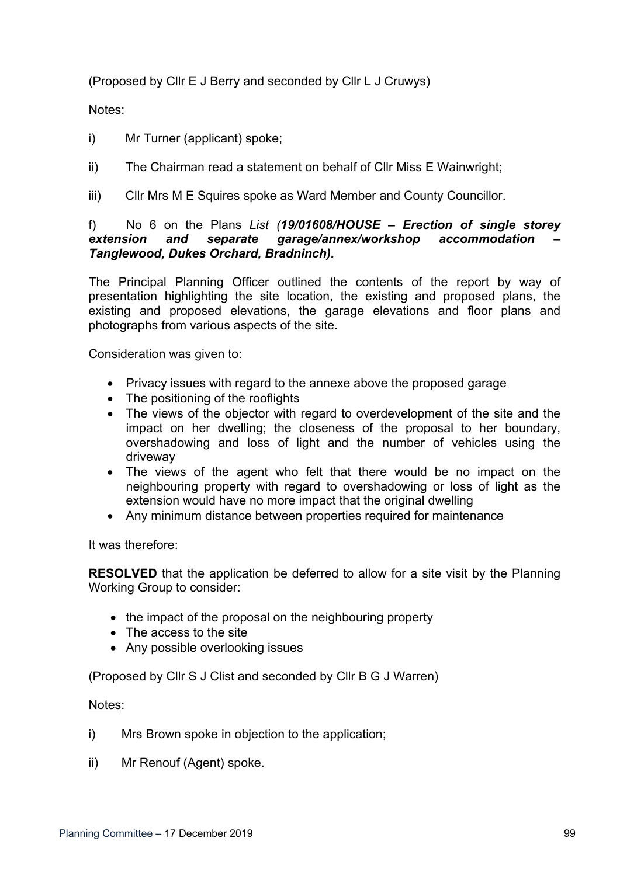(Proposed by Cllr E J Berry and seconded by Cllr L J Cruwys)

# Notes:

- i) Mr Turner (applicant) spoke;
- ii) The Chairman read a statement on behalf of Cllr Miss E Wainwright;
- iii) Cllr Mrs M E Squires spoke as Ward Member and County Councillor.

## f) No 6 on the Plans *List (19/01608/HOUSE – Erection of single storey extension and separate garage/annex/workshop accommodation – Tanglewood, Dukes Orchard, Bradninch).*

The Principal Planning Officer outlined the contents of the report by way of presentation highlighting the site location, the existing and proposed plans, the existing and proposed elevations, the garage elevations and floor plans and photographs from various aspects of the site.

Consideration was given to:

- Privacy issues with regard to the annexe above the proposed garage
- The positioning of the rooflights
- The views of the objector with regard to overdevelopment of the site and the impact on her dwelling; the closeness of the proposal to her boundary, overshadowing and loss of light and the number of vehicles using the driveway
- The views of the agent who felt that there would be no impact on the neighbouring property with regard to overshadowing or loss of light as the extension would have no more impact that the original dwelling
- Any minimum distance between properties required for maintenance

It was therefore:

**RESOLVED** that the application be deferred to allow for a site visit by the Planning Working Group to consider:

- the impact of the proposal on the neighbouring property
- The access to the site
- Any possible overlooking issues

(Proposed by Cllr S J Clist and seconded by Cllr B G J Warren)

#### Notes:

- i) Mrs Brown spoke in objection to the application;
- ii) Mr Renouf (Agent) spoke.